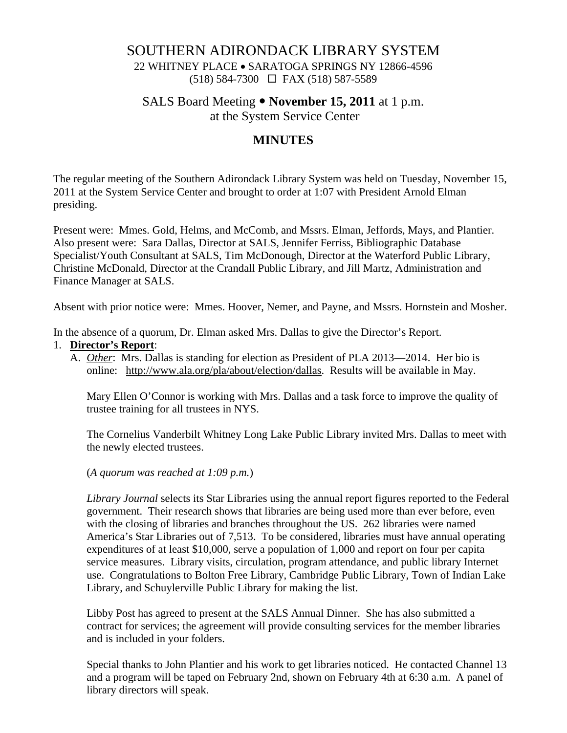## SOUTHERN ADIRONDACK LIBRARY SYSTEM

22 WHITNEY PLACE • SARATOGA SPRINGS NY 12866-4596 (518) 584-7300 FAX (518) 587-5589

SALS Board Meeting • **November 15, 2011** at 1 p.m.

at the System Service Center

# **MINUTES**

The regular meeting of the Southern Adirondack Library System was held on Tuesday, November 15, 2011 at the System Service Center and brought to order at 1:07 with President Arnold Elman presiding.

Present were: Mmes. Gold, Helms, and McComb, and Mssrs. Elman, Jeffords, Mays, and Plantier. Also present were: Sara Dallas, Director at SALS, Jennifer Ferriss, Bibliographic Database Specialist/Youth Consultant at SALS, Tim McDonough, Director at the Waterford Public Library, Christine McDonald, Director at the Crandall Public Library, and Jill Martz, Administration and Finance Manager at SALS.

Absent with prior notice were: Mmes. Hoover, Nemer, and Payne, and Mssrs. Hornstein and Mosher.

In the absence of a quorum, Dr. Elman asked Mrs. Dallas to give the Director's Report.

#### 1. **Director's Report**:

A. *Other*: Mrs. Dallas is standing for election as President of PLA 2013—2014. Her bio is online: http://www.ala.org/pla/about/election/dallas. Results will be available in May.

Mary Ellen O'Connor is working with Mrs. Dallas and a task force to improve the quality of trustee training for all trustees in NYS.

The Cornelius Vanderbilt Whitney Long Lake Public Library invited Mrs. Dallas to meet with the newly elected trustees.

(*A quorum was reached at 1:09 p.m.*)

*Library Journal* selects its Star Libraries using the annual report figures reported to the Federal government. Their research shows that libraries are being used more than ever before, even with the closing of libraries and branches throughout the US. 262 libraries were named America's Star Libraries out of 7,513. To be considered, libraries must have annual operating expenditures of at least \$10,000, serve a population of 1,000 and report on four per capita service measures. Library visits, circulation, program attendance, and public library Internet use. Congratulations to Bolton Free Library, Cambridge Public Library, Town of Indian Lake Library, and Schuylerville Public Library for making the list.

Libby Post has agreed to present at the SALS Annual Dinner. She has also submitted a contract for services; the agreement will provide consulting services for the member libraries and is included in your folders.

Special thanks to John Plantier and his work to get libraries noticed. He contacted Channel 13 and a program will be taped on February 2nd, shown on February 4th at 6:30 a.m. A panel of library directors will speak.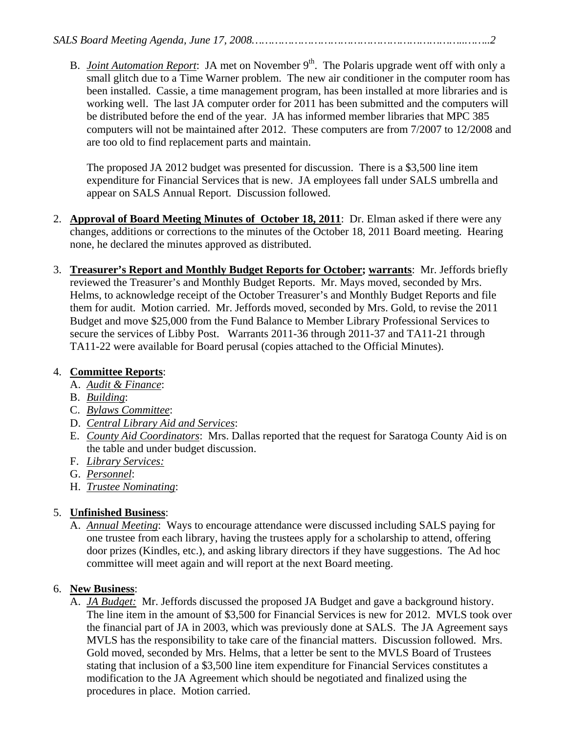B. *Joint Automation Report*: JA met on November 9<sup>th</sup>. The Polaris upgrade went off with only a small glitch due to a Time Warner problem. The new air conditioner in the computer room has been installed. Cassie, a time management program, has been installed at more libraries and is working well. The last JA computer order for 2011 has been submitted and the computers will be distributed before the end of the year. JA has informed member libraries that MPC 385 computers will not be maintained after 2012. These computers are from 7/2007 to 12/2008 and are too old to find replacement parts and maintain.

The proposed JA 2012 budget was presented for discussion. There is a \$3,500 line item expenditure for Financial Services that is new. JA employees fall under SALS umbrella and appear on SALS Annual Report. Discussion followed.

- 2. **Approval of Board Meeting Minutes of October 18, 2011**: Dr. Elman asked if there were any changes, additions or corrections to the minutes of the October 18, 2011 Board meeting. Hearing none, he declared the minutes approved as distributed.
- 3. **Treasurer's Report and Monthly Budget Reports for October; warrants**: Mr. Jeffords briefly reviewed the Treasurer's and Monthly Budget Reports. Mr. Mays moved, seconded by Mrs. Helms, to acknowledge receipt of the October Treasurer's and Monthly Budget Reports and file them for audit. Motion carried. Mr. Jeffords moved, seconded by Mrs. Gold, to revise the 2011 Budget and move \$25,000 from the Fund Balance to Member Library Professional Services to secure the services of Libby Post. Warrants 2011-36 through 2011-37 and TA11-21 through TA11-22 were available for Board perusal (copies attached to the Official Minutes).

## 4. **Committee Reports**:

- A. *Audit & Finance*:
- B. *Building*:
- C. *Bylaws Committee*:
- D. *Central Library Aid and Services*:
- E. *County Aid Coordinators*: Mrs. Dallas reported that the request for Saratoga County Aid is on the table and under budget discussion.
- F. *Library Services:*
- G. *Personnel*:
- H. *Trustee Nominating*:

## 5. **Unfinished Business**:

A. *Annual Meeting*: Ways to encourage attendance were discussed including SALS paying for one trustee from each library, having the trustees apply for a scholarship to attend, offering door prizes (Kindles, etc.), and asking library directors if they have suggestions. The Ad hoc committee will meet again and will report at the next Board meeting.

## 6. **New Business**:

A. *JA Budget:* Mr. Jeffords discussed the proposed JA Budget and gave a background history. The line item in the amount of \$3,500 for Financial Services is new for 2012. MVLS took over the financial part of JA in 2003, which was previously done at SALS. The JA Agreement says MVLS has the responsibility to take care of the financial matters. Discussion followed. Mrs. Gold moved, seconded by Mrs. Helms, that a letter be sent to the MVLS Board of Trustees stating that inclusion of a \$3,500 line item expenditure for Financial Services constitutes a modification to the JA Agreement which should be negotiated and finalized using the procedures in place. Motion carried.